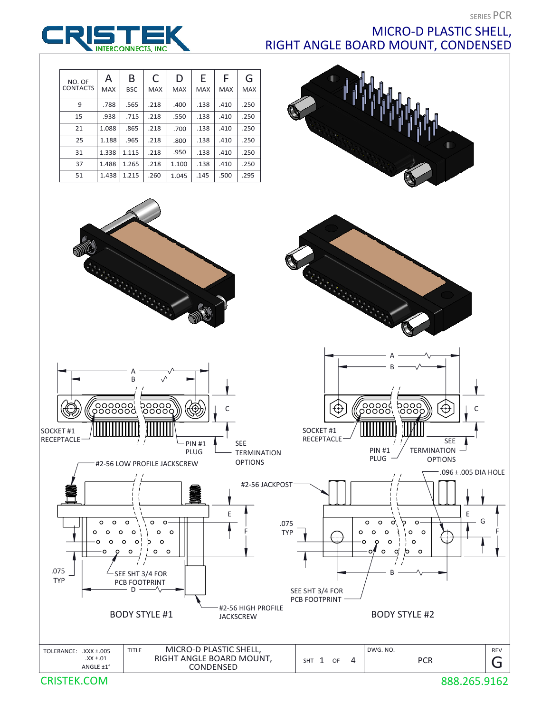SERIES PCR



## MICRO-D PLASTIC SHELL, RIGHT ANGLE BOARD MOUNT, CONDENSED



REV SHT 1 OF 4 TOLERANCE:  $\overline{XXX} \pm .005$  Title MICRO-D PLASTIC SHELL,  $\overline{XX}$  DWG. No.  $\begin{array}{|c|c|c|c|c|}\n\hline\nXX \pm .01 & \text{RIGHT ANGLE BOARD MOUNT,} & \text{SHT 1 OF 4}\n\end{array}$  PCR ANGLE ±1° CONDENSED G

CRISTEK.COM

888.265.9162

G

F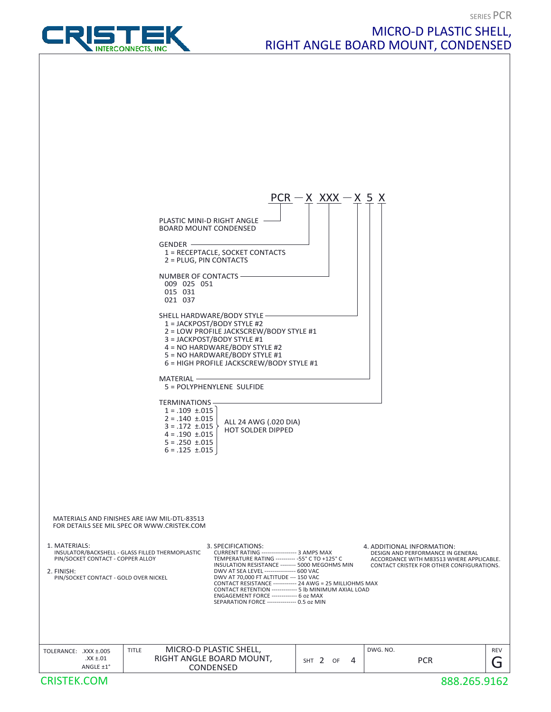**SERIES PCR** 



## MICRO-D PLASTIC SHELL, RIGHT ANGLE BOARD MOUNT, CONDENSED

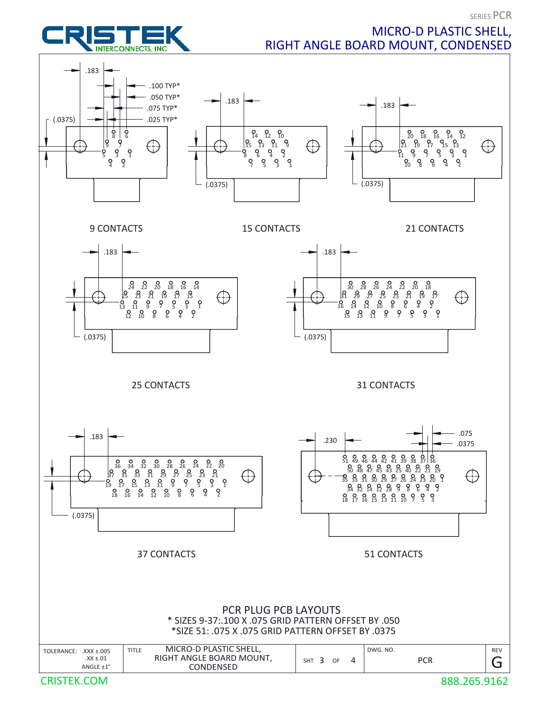



## MICRO-D PLASTIC SHELL, RIGHT ANGLE BOARD MOUNT, CONDENSED